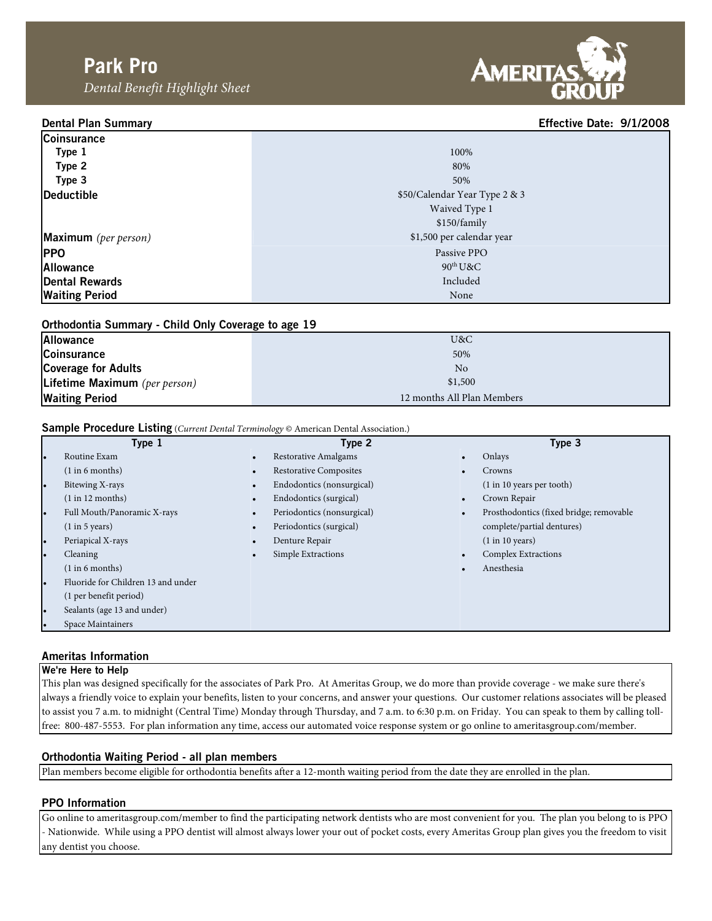Dental Benefit Highlight Sheet



# Dental Plan Summary Effective Date: 9/1/2008

| Coinsurance                 |                               |
|-----------------------------|-------------------------------|
| Type 1                      | 100%                          |
| Type 2                      | 80%                           |
| Type 3                      | 50%                           |
| Deductible                  | \$50/Calendar Year Type 2 & 3 |
|                             | Waived Type 1                 |
|                             | \$150/family                  |
| <b>Maximum</b> (per person) | \$1,500 per calendar year     |
| <b>PPO</b>                  | Passive PPO                   |
| <b>Allowance</b>            | $90^{\text{th}}$ U&C          |
| Dental Rewards              | Included                      |
| <b>Waiting Period</b>       | None                          |

| Orthodontia Summary - Child Only Coverage to age 19 |                            |  |  |  |  |
|-----------------------------------------------------|----------------------------|--|--|--|--|
| <b>Allowance</b>                                    | U&C                        |  |  |  |  |
| <b>Coinsurance</b>                                  | 50%                        |  |  |  |  |
| <b>Coverage for Adults</b>                          | No                         |  |  |  |  |
| Lifetime Maximum (per person)                       | \$1,500                    |  |  |  |  |
| <b>Waiting Period</b>                               | 12 months All Plan Members |  |  |  |  |

# Sample Procedure Listing (Current Dental Terminology © American Dental Association.)

|           | Type 1                             |           | Type 2                        | Type 3                                  |
|-----------|------------------------------------|-----------|-------------------------------|-----------------------------------------|
| $\bullet$ | Routine Exam                       | $\bullet$ | Restorative Amalgams          | Onlays                                  |
|           | (1 in 6 months)                    | $\bullet$ | <b>Restorative Composites</b> | Crowns                                  |
| $\bullet$ | Bitewing X-rays                    | $\bullet$ | Endodontics (nonsurgical)     | (1 in 10 years per tooth)               |
|           | (1 in 12 months)                   | $\bullet$ | Endodontics (surgical)        | Crown Repair                            |
| $\bullet$ | Full Mouth/Panoramic X-rays        | $\bullet$ | Periodontics (nonsurgical)    | Prosthodontics (fixed bridge; removable |
|           | (1 in 5 years)                     | $\bullet$ | Periodontics (surgical)       | complete/partial dentures)              |
| $\bullet$ | Periapical X-rays                  | $\bullet$ | Denture Repair                | (1 in 10 years)                         |
| ۰.        | Cleaning                           | $\bullet$ | Simple Extractions            | <b>Complex Extractions</b>              |
|           | (1 in 6 months)                    |           |                               | Anesthesia                              |
| $\bullet$ | Fluoride for Children 13 and under |           |                               |                                         |
|           | (1 per benefit period)             |           |                               |                                         |
| $\bullet$ | Sealants (age 13 and under)        |           |                               |                                         |
| $\bullet$ | Space Maintainers                  |           |                               |                                         |

## Ameritas Information

#### We're Here to Help

This plan was designed specifically for the associates of Park Pro. At Ameritas Group, we do more than provide coverage - we make sure there's always a friendly voice to explain your benefits, listen to your concerns, and answer your questions. Our customer relations associates will be pleased to assist you 7 a.m. to midnight (Central Time) Monday through Thursday, and 7 a.m. to 6:30 p.m. on Friday. You can speak to them by calling tollfree: 800-487-5553. For plan information any time, access our automated voice response system or go online to ameritasgroup.com/member.

## Orthodontia Waiting Period - all plan members

Plan members become eligible for orthodontia benefits after a 12-month waiting period from the date they are enrolled in the plan.

## PPO Information

Go online to ameritasgroup.com/member to find the participating network dentists who are most convenient for you. The plan you belong to is PPO - Nationwide. While using a PPO dentist will almost always lower your out of pocket costs, every Ameritas Group plan gives you the freedom to visit any dentist you choose.